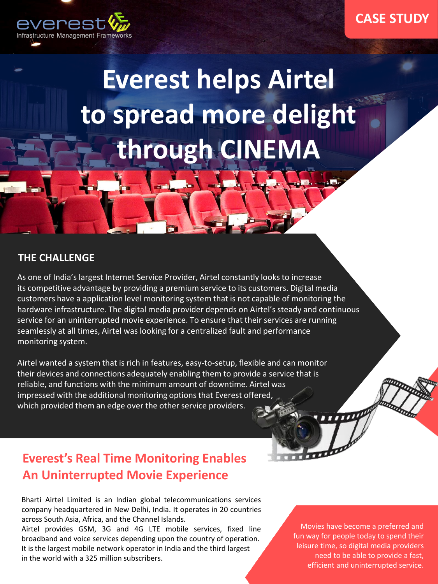

**Everest helps Airtel to spread more delight through CINEMA**

#### **THE CHALLENGE**

As one of India's largest Internet Service Provider, Airtel constantly looks to increase its competitive advantage by providing a premium service to its customers. Digital media customers have a application level monitoring system that is not capable of monitoring the hardware infrastructure. The digital media provider depends on Airtel's steady and continuous service for an uninterrupted movie experience. To ensure that their services are running seamlessly at all times, Airtel was looking for a centralized fault and performance monitoring system.

Airtel wanted a system that is rich in features, easy-to-setup, flexible and can monitor their devices and connections adequately enabling them to provide a service that is reliable, and functions with the minimum amount of downtime. Airtel was impressed with the additional monitoring options that Everest offered, which provided them an edge over the other service providers.

## **Everest's Real Time Monitoring Enables An Uninterrupted Movie Experience**

Bharti Airtel Limited is an Indian global telecommunications services company headquartered in New Delhi, India. It operates in 20 countries across South Asia, Africa, and the Channel Islands.

Airtel provides GSM, 3G and 4G LTE mobile services, fixed line broadband and voice services depending upon the country of operation. It is the largest mobile network operator in India and the third largest in the world with a 325 million subscribers.

Movies have become a preferred and fun way for people today to spend their leisure time, so digital media providers need to be able to provide a fast, efficient and uninterrupted service.